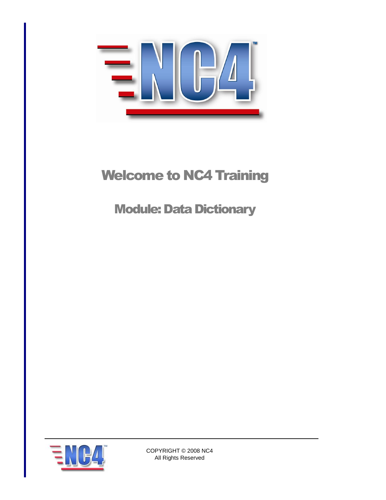

# Welcome to NC4 Training

# Module: Data Dictionary

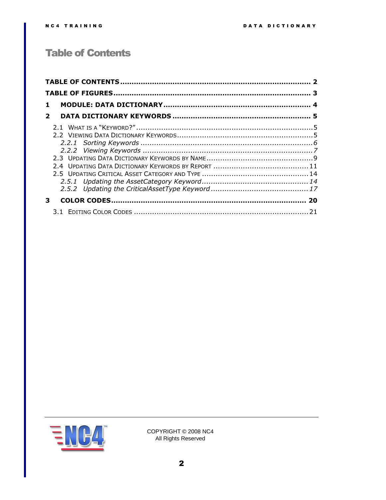### <span id="page-1-0"></span>Table of Contents

| $\mathbf{1}$ |  |
|--------------|--|
| $2^{\circ}$  |  |
|              |  |
|              |  |
|              |  |
|              |  |
|              |  |
|              |  |
|              |  |
|              |  |
|              |  |
| 3            |  |
|              |  |

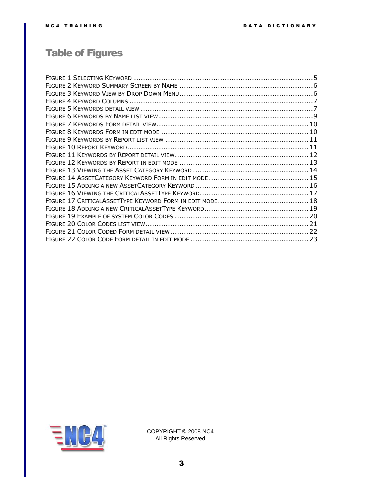## <span id="page-2-0"></span>Table of Figures

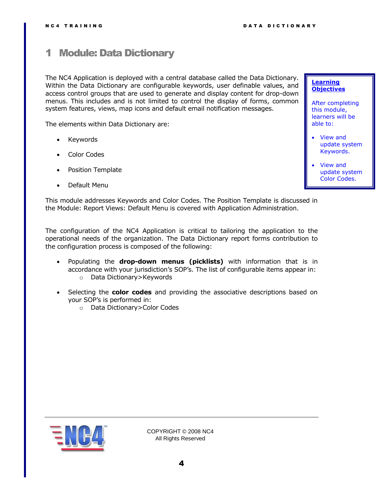### <span id="page-3-0"></span>1 Module: Data Dictionary

The NC4 Application is deployed with a central database called the Data Dictionary. Within the Data Dictionary are configurable keywords, user definable values, and access control groups that are used to generate and display content for drop-down menus. This includes and is not limited to control the display of forms, common system features, views, map icons and default email notification messages.

The elements within Data Dictionary are:

- Keywords
- Color Codes
- Position Template
- Default Menu

This module addresses Keywords and Color Codes. The Position Template is discussed in the Module: Report Views: Default Menu is covered with Application Administration.

The configuration of the NC4 Application is critical to tailoring the application to the operational needs of the organization. The Data Dictionary report forms contribution to the configuration process is composed of the following:

- Populating the **drop-down menus (picklists)** with information that is in accordance with your jurisdiction's SOP's. The list of configurable items appear in: o Data Dictionary>Keywords
- Selecting the **color codes** and providing the associative descriptions based on your SOP's is performed in:  $\mathbf{H}$ 
	- o Data Dictionary>Color Codes



COPYRIGHT © 2008 NC4 All Rights Reserved

After completing this module, learners will be able to:

- View and update system Keywords.
- View and update system Color Codes.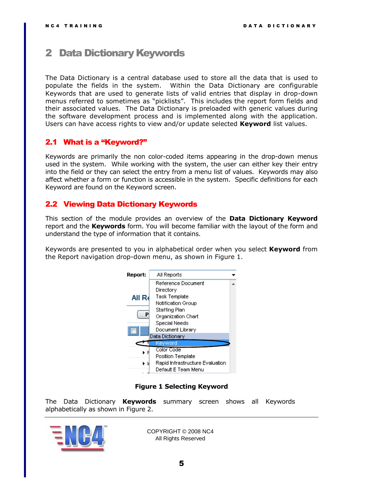### <span id="page-4-0"></span>2 Data Dictionary Keywords

The Data Dictionary is a central database used to store all the data that is used to populate the fields in the system. Within the Data Dictionary are configurable Keywords that are used to generate lists of valid entries that display in drop-down menus referred to sometimes as "picklists". This includes the report form fields and their associated values. The Data Dictionary is preloaded with generic values during the software development process and is implemented along with the application. Users can have access rights to view and/or update selected **Keyword** list values.

#### <span id="page-4-1"></span>2.1 What is a "Keyword?"

Keywords are primarily the non color-coded items appearing in the drop-down menus used in the system. While working with the system, the user can either key their entry into the field or they can select the entry from a menu list of values. Keywords may also affect whether a form or function is accessible in the system. Specific definitions for each Keyword are found on the Keyword screen.

### <span id="page-4-2"></span>2.2 Viewing Data Dictionary Keywords

This section of the module provides an overview of the **Data Dictionary Keyword** report and the **Keywords** form. You will become familiar with the layout of the form and understand the type of information that it contains.

Keywords are presented to you in alphabetical order when you select **Keyword** from the Report navigation drop-down menu, as shown in [Figure 1.](#page-4-3)



**Figure 1 Selecting Keyword**

<span id="page-4-3"></span>The Data Dictionary **Keywords** summary screen shows all Keywords alphabetically as shown in [Figure 2.](#page-5-1)

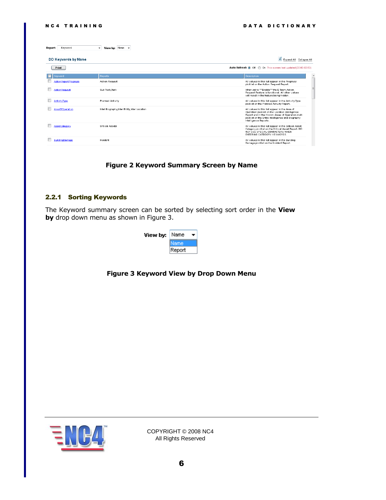| Kevword<br>Report:          | View by: Name v<br>$\bullet$                  |                                                                                                                                                                                                                                    |
|-----------------------------|-----------------------------------------------|------------------------------------------------------------------------------------------------------------------------------------------------------------------------------------------------------------------------------------|
| DD Keywords by Name         |                                               | Expand All Collapse All                                                                                                                                                                                                            |
| Print.                      |                                               | Auto Refresh @ Off @ On This screen last updated (00:00:02:50)                                                                                                                                                                     |
| Kewword                     | Reports                                       | Description                                                                                                                                                                                                                        |
| <b>ActionReportProgress</b> | <b>Action Request</b>                         | All values in this list appear in the Progress<br>picklist on the Action Request Report.                                                                                                                                           |
| <b>ActionRequest</b>        | Sub-Task,Task                                 | When set to ""Enable"" the E Team Action<br>Request Feature is functional. All other values<br>will result in the feature being hidden.                                                                                            |
| ActivityType                | <b>Planned Activity</b>                       | All values in this list appear in the Activity Type<br>picklist on the Planned Activity Report.                                                                                                                                    |
| Area Of Operation           | Intel Biography, Intel Entity, Intel Location | All values in this list appear in the Area of<br>Operation picklist on the Location Intelligence<br>Report and in the Known Areas of Operation multi<br>picklist on the Entity Intelligence and Biography<br>Intelligence Reports. |
| <b>AssetCategory</b>        | <b>Critical Assets</b>                        | All values in this list appear in the Critical Asset<br>Category picklist on the Critical Asset Report. DO<br>NOT USE SPECIAL CHARACTERS WHEN<br>ENTERING CATEGORY KEYWORDS.                                                       |
| <b>BuildingDamage</b>       | Incident                                      | All values in this list appear in the Building<br>Damage picklist on the Incident Report.                                                                                                                                          |

#### **Figure 2 Keyword Summary Screen by Name**

#### <span id="page-5-1"></span><span id="page-5-0"></span>2.2.1 Sorting Keywords

The Keyword summary screen can be sorted by selecting sort order in the **View by** drop down menu as shown in [Figure 3.](#page-5-2)

| View by: | Name   |  |
|----------|--------|--|
|          | Name,  |  |
|          | Report |  |

#### <span id="page-5-2"></span>**Figure 3 Keyword View by Drop Down Menu**

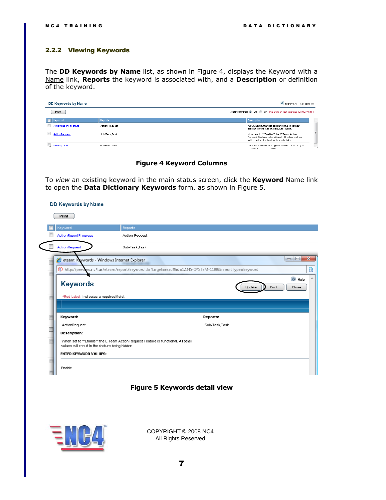#### <span id="page-6-0"></span>2.2.2 Viewing Keywords

The **DD Keywords by Name** list, as shown in [Figure 4,](#page-6-1) displays the Keyword with a Name link, **Reports** the keyword is associated with, and a **Description** or definition of the keyword.

| Expand All Collapse All<br>DD Keywords by Name |                       |                                                                                                                                              |
|------------------------------------------------|-----------------------|----------------------------------------------------------------------------------------------------------------------------------------------|
| Print                                          |                       | Auto Refresh @ Off @ On This screen last updated (00:00:10:15)                                                                               |
| Keyword                                        | Reports               | Description<br>$\rightarrow$                                                                                                                 |
| <b>ActionReportProgress</b>                    | <b>Action Request</b> | π<br>All values in this list appear in the Progress<br>picklist on the Action Request Report.                                                |
| ActionRequest                                  | Sub-Task.Task         | Ξ<br>When set to ""Enable"" the E Team Action<br>Request Feature is functional. All other values<br>will result in the feature being hidden. |
| <b>ActivityType</b>                            | Planned Activ" :      | All values in this list appear in the - tivity Type<br>10.10<br>Phiet c<br>red i                                                             |

#### **Figure 4 Keyword Columns**

<span id="page-6-1"></span>To *view* an existing keyword in the main status screen, click the **Keyword** Name link to open the **Data Dictionary Keywords** form, as shown in [Figure 5.](#page-6-2)

| DD Keywords by Name                                        |                                                                                                      |
|------------------------------------------------------------|------------------------------------------------------------------------------------------------------|
| Print                                                      |                                                                                                      |
| Keyword                                                    | Reports                                                                                              |
| <b>Action Report Progress</b>                              | Action Request                                                                                       |
| ActionRequest                                              | Sub-Task,Task                                                                                        |
| eteam: Keywords - Windows Internet Explorer                | $\Box$<br>$\Box$                                                                                     |
|                                                            | 1) http://prevoxw.nc4.us/eteam/report/keyword.do?target=read&id=12345-SYSTEM-1100&reportType=keyword |
| <b>Keywords</b><br>*Red Label: indicates a required field. | C Help<br>Update<br>Print<br>Close                                                                   |
| Keyword:                                                   | Reports:                                                                                             |
| ActionRequest                                              | Sub-Task,Task                                                                                        |
| <b>Description:</b>                                        |                                                                                                      |
| values will result in the feature being hidden.            | When set to ""Enable"" the E Team Action Request Feature is functional. All other                    |
| <b>ENTER KEYWORD VALUES:</b>                               |                                                                                                      |
| Enable                                                     |                                                                                                      |

#### **Figure 5 Keywords detail view**

<span id="page-6-2"></span>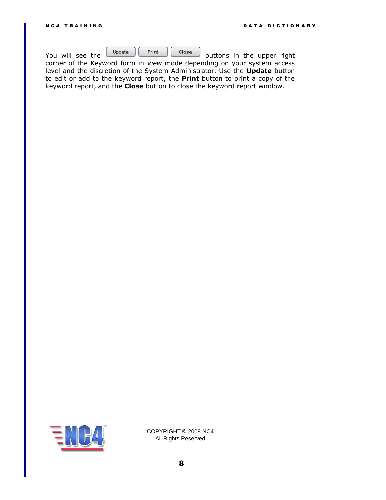

corner of the Keyword form in *View* mode depending on your system access level and the discretion of the System Administrator. Use the **Update** button to edit or add to the keyword report, the **Print** button to print a copy of the keyword report, and the **Close** button to close the keyword report window.

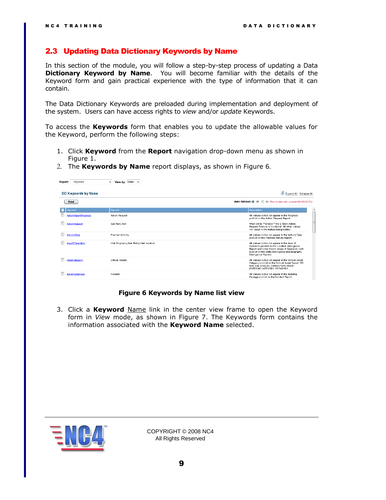#### <span id="page-8-0"></span>2.3 Updating Data Dictionary Keywords by Name

In this section of the module, you will follow a step-by-step process of updating a Data **Dictionary Keyword by Name**. You will become familiar with the details of the Keyword form and gain practical experience with the type of information that it can contain.

The Data Dictionary Keywords are preloaded during implementation and deployment of the system. Users can have access rights to *view* and/or *update* Keywords.

To access the **Keywords** form that enables you to update the allowable values for the Keyword, perform the following steps:

- 1. Click **Keyword** from the **Report** navigation drop-down menu as shown in [Figure 1.](#page-4-3)
- 2. The **Keywords by Name** report displays, as shown in [Figure 6](#page-8-1).

| Kevword<br>Report:            | View by: $\mathbb{N}$ ame $\rightarrow$<br>$\mathbf{v}$ |                                                                                                                                                                                                                                     |
|-------------------------------|---------------------------------------------------------|-------------------------------------------------------------------------------------------------------------------------------------------------------------------------------------------------------------------------------------|
| DD Keywords by Name           |                                                         | Expand All Collapse All                                                                                                                                                                                                             |
| <b>Print</b>                  |                                                         | Auto Refresh @ Off @ On This screen last updated (00:00:02:50)                                                                                                                                                                      |
| Keyword                       | Reports                                                 | <b>Description</b><br>$\blacktriangle$                                                                                                                                                                                              |
| <b>Action Report Progress</b> | <b>Action Request</b>                                   | All values in this list appear in the Progress<br>picklist on the Action Request Report.                                                                                                                                            |
| <b>ActionRequest</b>          | Sub-Task,Task                                           | When set to ""Enable"" the E Team Action<br>Request Feature is functional. All other values<br>will result in the feature being hidden.                                                                                             |
| ActivityType                  | Planned Activity                                        | All values in this list appear in the Activity Type<br>picklist on the Planned Activity Report.                                                                                                                                     |
| <b>Area Of Operation</b>      | Intel Biography, Intel Entity, Intel Location           | All values in this list appear in the Area of<br>Operation picklist on the Location Intelligence<br>Report and in the Known Areas of Operation multi-<br>picklist on the Entity Intelligence and Biography<br>Intelligence Reports. |
| <b>AssetCategory</b>          | <b>Critical Assets</b>                                  | All values in this list appear in the Critical Asset<br>Category picklist on the Critical Asset Report. DO<br>NOT USE SPECIAL CHARACTERS WHEN<br>ENTERING CATEGORY KEYWORDS.                                                        |
| <b>BuildingDamage</b>         | Incident                                                | All values in this list appear in the Building<br>Damage picklist on the Incident Report.                                                                                                                                           |

#### **Figure 6 Keywords by Name list view**

<span id="page-8-1"></span>3. Click a **Keyword** Name link in the center view frame to open the Keyword form in *View* mode, as shown in [Figure 7.](#page-9-0) The Keywords form contains the information associated with the **Keyword Name** selected.

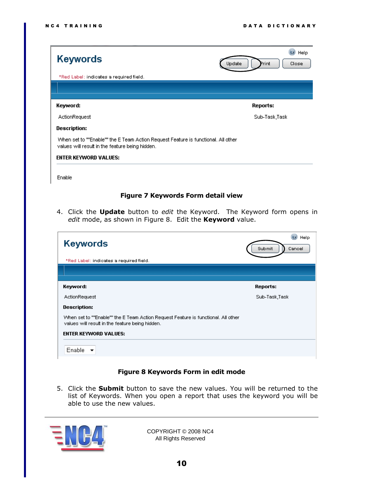| <b>Keywords</b><br>*Red Label: indicates a required field.                                                                           | Help<br>Print<br>Close<br>Update |
|--------------------------------------------------------------------------------------------------------------------------------------|----------------------------------|
|                                                                                                                                      |                                  |
| Keyword:                                                                                                                             | Reports:                         |
| ActionRequest                                                                                                                        | Sub-Task,Task                    |
| Description:                                                                                                                         |                                  |
| When set to ""Enable"" the E Team Action Request Feature is functional. All other<br>values will result in the feature being hidden. |                                  |
| <b>ENTER KEYWORD VALUES:</b>                                                                                                         |                                  |

Enable

#### **Figure 7 Keywords Form detail view**

<span id="page-9-0"></span>4. Click the **Update** button to *edit* the Keyword. The Keyword form opens in *edit* mode, as shown in [Figure 8.](#page-9-1) Edit the **Keyword** value.

| <b>Keywords</b><br>*Red Label: indicates a required field.                                                                           | Help<br>Submit<br>Cancel |
|--------------------------------------------------------------------------------------------------------------------------------------|--------------------------|
|                                                                                                                                      |                          |
| Keyword:                                                                                                                             | Reports:                 |
| ActionRequest                                                                                                                        | Sub-Task,Task            |
| Description:                                                                                                                         |                          |
| When set to ""Enable"" the E Team Action Request Feature is functional. All other<br>values will result in the feature being hidden. |                          |
| <b>ENTER KEYWORD VALUES:</b>                                                                                                         |                          |
| Enable                                                                                                                               |                          |

#### **Figure 8 Keywords Form in edit mode**

<span id="page-9-1"></span>5. Click the **Submit** button to save the new values. You will be returned to the list of Keywords. When you open a report that uses the keyword you will be able to use the new values.

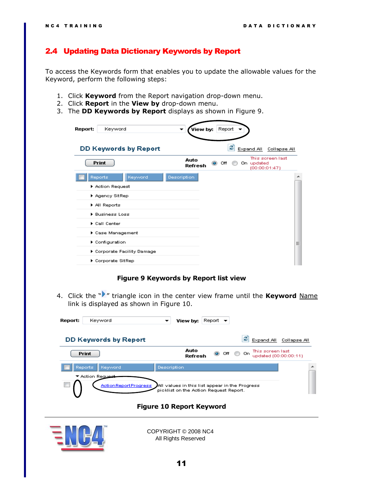#### <span id="page-10-0"></span>2.4 Updating Data Dictionary Keywords by Report

To access the Keywords form that enables you to update the allowable values for the Keyword, perform the following steps:

- 1. Click **Keyword** from the Report navigation drop-down menu.
- 2. Click **Report** in the **View by** drop-down menu.
- 3. The **DD Keywords by Report** displays as shown in [Figure 9.](#page-10-1)

| Report:<br>Keyword                  | Report<br>View by:                                                          |
|-------------------------------------|-----------------------------------------------------------------------------|
| DD Keywords by Report               | Expand All Collapse All<br>E                                                |
| <b>Print</b>                        | This screen last<br>Auto<br>) Off<br>On updated<br>Refresh<br>(00:00:01:47) |
| Keyword<br>Reports                  | <b>Description</b><br>▴                                                     |
| Action Request                      |                                                                             |
| ▶ Agency SitRep                     |                                                                             |
| All Reports                         |                                                                             |
| <b>Eusiness Loss</b>                |                                                                             |
| Call Center                         |                                                                             |
| ▶ Case Management                   |                                                                             |
| $\blacktriangleright$ Configuration | Ξ                                                                           |
| Corporate Facility Damage           |                                                                             |
| Corporate SitRep                    |                                                                             |

#### **Figure 9 Keywords by Report list view**

<span id="page-10-1"></span>4. Click the "<sup>\*</sup>" triangle icon in the center view frame until the **Keyword** Name link is displayed as shown in [Figure 10.](#page-10-2)

<span id="page-10-2"></span>

| Report: | Keyword                                           | ▼                               | View by:                                                                                 | Report $\blacktriangleright$ |     |     |                                           |              |  |
|---------|---------------------------------------------------|---------------------------------|------------------------------------------------------------------------------------------|------------------------------|-----|-----|-------------------------------------------|--------------|--|
|         | DD Keywords by Report                             |                                 |                                                                                          |                              |     | e   | Expand All                                | Collapse All |  |
|         | <b>Print</b>                                      |                                 | Auto<br>Refresh                                                                          | $\bullet$                    | Off | On. | This screen last<br>updated (00:00:00:11) |              |  |
|         | Reports<br>Keyword                                | Description                     |                                                                                          |                              |     |     |                                           |              |  |
|         | ▼ Action Request<br><b>Action Report Progress</b> |                                 | All values in this list appear in the Progress<br>picklist on the Action Request Report. |                              |     |     |                                           |              |  |
|         |                                                   | <b>Figure 10 Report Keyword</b> |                                                                                          |                              |     |     |                                           |              |  |
|         |                                                   |                                 | COPYRIGHT © 2008 NC4<br>All Rights Reserved                                              |                              |     |     |                                           |              |  |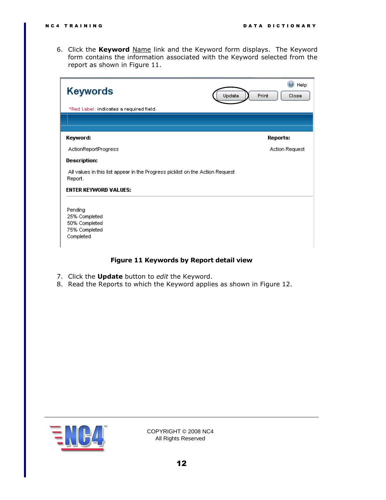6. Click the **Keyword** Name link and the Keyword form displays. The Keyword form contains the information associated with the Keyword selected from the report as shown in [Figure 11.](#page-11-0)

| Keywords                                                                                 | Help<br>Print<br>Update<br>Close |
|------------------------------------------------------------------------------------------|----------------------------------|
| *Red Label: indicates a required field.                                                  |                                  |
|                                                                                          |                                  |
| Keyword:                                                                                 | Reports:                         |
| <b>ActionReportProgress</b>                                                              | Action Request                   |
| Description:                                                                             |                                  |
| All values in this list appear in the Progress picklist on the Action Request<br>Report. |                                  |
| <b>ENTER KEYWORD VALUES:</b>                                                             |                                  |
| Pending<br>25% Completed<br>50% Completed<br>75% Completed<br>Completed                  |                                  |

#### **Figure 11 Keywords by Report detail view**

- <span id="page-11-0"></span>7. Click the **Update** button to *edit* the Keyword.
- 8. Read the Reports to which the Keyword applies as shown in [Figure 12.](#page-12-0)

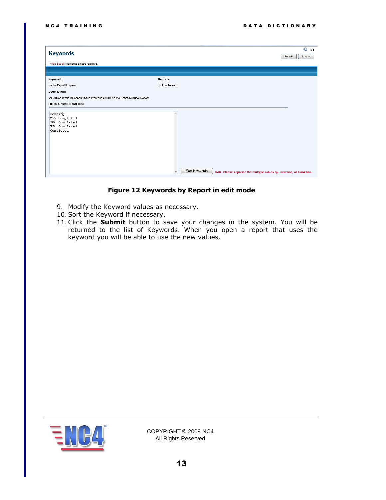| Keywords                                                                              |                                                                                             | $\odot$ Help<br>Submit<br>Cancel |
|---------------------------------------------------------------------------------------|---------------------------------------------------------------------------------------------|----------------------------------|
| *Red Label: indicates a required field.                                               |                                                                                             |                                  |
|                                                                                       |                                                                                             |                                  |
| Keyword:                                                                              | Reports:                                                                                    |                                  |
| ActionReportProgress                                                                  | Action Request                                                                              |                                  |
| Description:                                                                          |                                                                                             |                                  |
| All values in this list appear in the Progress picklist on the Action Request Report. |                                                                                             |                                  |
| <b>ENTER KEYWORD VALUES:</b>                                                          |                                                                                             |                                  |
| Pending<br>25% Completed<br>50% Completed<br>75% Completed<br>Completed               | 人<br>Sort Keywords<br>Note: Please separate the multiple values by new line, or blank line. |                                  |

**Figure 12 Keywords by Report in edit mode**

- <span id="page-12-0"></span>9. Modify the Keyword values as necessary.
- 10.Sort the Keyword if necessary.
- 11.Click the **Submit** button to save your changes in the system. You will be returned to the list of Keywords. When you open a report that uses the keyword you will be able to use the new values.

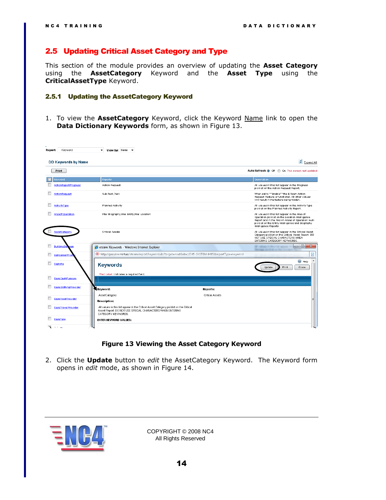#### <span id="page-13-0"></span>2.5 Updating Critical Asset Category and Type

This section of the module provides an overview of updating the **Asset Category** using the **AssetCategory** Keyword and the **Asset Type** using the **CriticalAssetType** Keyword.

#### <span id="page-13-1"></span>2.5.1 Updating the AssetCategory Keyword

1. To view the **AssetCategory** Keyword, click the Keyword Name link to open the **Data Dictionary Keywords** form, as shown in [Figure 13.](#page-13-2)

| DD Keywords by Name          |                                                                                                                                                                           |                                                                                                   | $\left \frac{\sigma}{\sigma}\right $ Expand All                                                                                                                                                                                     |
|------------------------------|---------------------------------------------------------------------------------------------------------------------------------------------------------------------------|---------------------------------------------------------------------------------------------------|-------------------------------------------------------------------------------------------------------------------------------------------------------------------------------------------------------------------------------------|
| <b>Print</b>                 |                                                                                                                                                                           |                                                                                                   | Auto Refresh @ Off @ On This screen last updated (                                                                                                                                                                                  |
| Keyword                      | Reports                                                                                                                                                                   |                                                                                                   | <b>Description</b>                                                                                                                                                                                                                  |
| <b>ActionReportProgress</b>  | <b>Action Request</b>                                                                                                                                                     |                                                                                                   | All values in this list appear in the Progress<br>picklist on the Action Request Report.                                                                                                                                            |
| ActionRequest                | Sub-Task,Task                                                                                                                                                             |                                                                                                   | When set to ""Enable"" the E Team Action<br>Request Feature is functional. All other values<br>will result in the feature being hidden.                                                                                             |
| ActivityType                 | Planned Activity                                                                                                                                                          |                                                                                                   | All values in this list appear in the Activity Type<br>picklist on the Planned Activity Report.                                                                                                                                     |
| Area Of Operation            | Intel Biography, Intel Entity, Intel Location                                                                                                                             |                                                                                                   | All values in this list appear in the Area of<br>Operation picklist on the Location Intelligence<br>Report and in the Known Areas of Operation multi-<br>picklist on the Entity Intelligence and Biography<br>Intelligence Reports. |
| Asset Category               | <b>Critical Assets</b>                                                                                                                                                    |                                                                                                   | All values in this list appear in the Critical Asset<br>Category picklist on the Critical Asset Report. DO<br>NOT USE SPECIAL CHARACTERS WHEN<br>ENTERING CATEGORY KEYWORDS.                                                        |
| Building <sub>D</sub><br>ige | eteam: Keywords - Windows Internet Explorer                                                                                                                               |                                                                                                   | -- 8<br>$\mathbf{x}$<br>MET conditional city Editor (1998) and<br>Warrings care of calculation                                                                                                                                      |
| <b>Call Center Prior</b>     |                                                                                                                                                                           | http://preview.nc4.us/eteam/report/keyword.do?tarqet=read&id=12345-SYSTEM-0495&reportType=keyword | 図                                                                                                                                                                                                                                   |
| Captoha                      | <b>Keywords</b>                                                                                                                                                           |                                                                                                   | C Help<br>$\overline{\phantom{a}}$<br>Close<br>Print<br>Update                                                                                                                                                                      |
| CaseCashPurpose              | *Red Label: indicates a required field.                                                                                                                                   |                                                                                                   |                                                                                                                                                                                                                                     |
| <b>CaseClothingProvider</b>  | Keyword:                                                                                                                                                                  | Reports:                                                                                          |                                                                                                                                                                                                                                     |
|                              | AssetCategory                                                                                                                                                             | <b>Critical Assets</b>                                                                            |                                                                                                                                                                                                                                     |
| CaseFoodProvider             | <b>Description:</b>                                                                                                                                                       |                                                                                                   |                                                                                                                                                                                                                                     |
| CaseTravelProvider           | All values in this list appear in the Critical Asset Category picklist on the Critical<br>Asset Report. DO NOT USE SPECIAL CHARACTERS WHEN ENTERING<br>CATEGORY KEYWORDS. |                                                                                                   |                                                                                                                                                                                                                                     |
| CaseType                     | <b>ENTER KEYWORD VALUES:</b>                                                                                                                                              |                                                                                                   |                                                                                                                                                                                                                                     |

#### **Figure 13 Viewing the Asset Category Keyword**

<span id="page-13-2"></span>2. Click the **Update** button to *edit* the AssetCategory Keyword. The Keyword form opens in *edit* mode, as shown in [Figure 14.](#page-14-0)

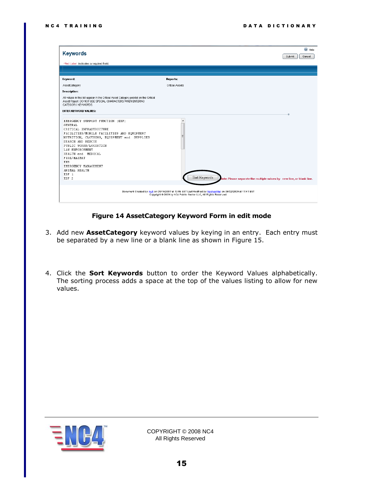| Keyword:<br>Reports:<br><b>Critical Assets</b><br>AssetCategory<br><b>Description:</b><br>All values in this list appear in the Critical Asset Category picklist on the Critical<br>Asset Report. DO NOT USE SPECIAL CHARACTERS WHEN ENTERING<br>CATEGORY KEYWORDS.<br><b>ENTER KEYWORD VALUES:</b><br>EMERGENCY SUPPORT FUNCTION (ESF)<br>▲<br><b>GENERAL</b><br>CRITICAL INFRASTRUCTURE<br>FACILITIES/MOBILE FACILITIES AND EOUIPMENT<br>NUTRITION, CLOTHING, EQUIPMENT and SUPPLIES<br>SEARCH AND RESCUE<br>PUBLIC WORKS/LOGISTICS<br>LAW ENFORCEMENT<br>HEALTH and MEDICAL<br>FIRE/HAZMAT<br>EMS<br>EMERGENCY MANAGEMENT<br>ANIMAL HEALTH<br>ESF <sub>1</sub><br>Sort Keywords<br>ESF <sub>2</sub><br>lote: Please separate the multiple values by new line, or blank line.<br>Document Created by: null on 05/14/2007 at 13:56 EST LastModified by: hschechter on 06/02/2009 at 17:41 EST<br>Copyright @ 2009 by NC4 Public Sector LLC, All Rights Reserved. | Keywords                                |  | C Help<br>Submit<br>Cancel |
|-------------------------------------------------------------------------------------------------------------------------------------------------------------------------------------------------------------------------------------------------------------------------------------------------------------------------------------------------------------------------------------------------------------------------------------------------------------------------------------------------------------------------------------------------------------------------------------------------------------------------------------------------------------------------------------------------------------------------------------------------------------------------------------------------------------------------------------------------------------------------------------------------------------------------------------------------------------------|-----------------------------------------|--|----------------------------|
|                                                                                                                                                                                                                                                                                                                                                                                                                                                                                                                                                                                                                                                                                                                                                                                                                                                                                                                                                                   | *Red Label: indicates a required field. |  |                            |
|                                                                                                                                                                                                                                                                                                                                                                                                                                                                                                                                                                                                                                                                                                                                                                                                                                                                                                                                                                   |                                         |  |                            |
|                                                                                                                                                                                                                                                                                                                                                                                                                                                                                                                                                                                                                                                                                                                                                                                                                                                                                                                                                                   |                                         |  |                            |
|                                                                                                                                                                                                                                                                                                                                                                                                                                                                                                                                                                                                                                                                                                                                                                                                                                                                                                                                                                   |                                         |  |                            |
|                                                                                                                                                                                                                                                                                                                                                                                                                                                                                                                                                                                                                                                                                                                                                                                                                                                                                                                                                                   |                                         |  |                            |
|                                                                                                                                                                                                                                                                                                                                                                                                                                                                                                                                                                                                                                                                                                                                                                                                                                                                                                                                                                   |                                         |  |                            |
|                                                                                                                                                                                                                                                                                                                                                                                                                                                                                                                                                                                                                                                                                                                                                                                                                                                                                                                                                                   |                                         |  |                            |
|                                                                                                                                                                                                                                                                                                                                                                                                                                                                                                                                                                                                                                                                                                                                                                                                                                                                                                                                                                   |                                         |  |                            |
|                                                                                                                                                                                                                                                                                                                                                                                                                                                                                                                                                                                                                                                                                                                                                                                                                                                                                                                                                                   |                                         |  |                            |

#### **Figure 14 AssetCategory Keyword Form in edit mode**

- <span id="page-14-0"></span>3. Add new **AssetCategory** keyword values by keying in an entry. Each entry must be separated by a new line or a blank line as shown in [Figure 15.](#page-15-0)
- 4. Click the **Sort Keywords** button to order the Keyword Values alphabetically. The sorting process adds a space at the top of the values listing to allow for new values.

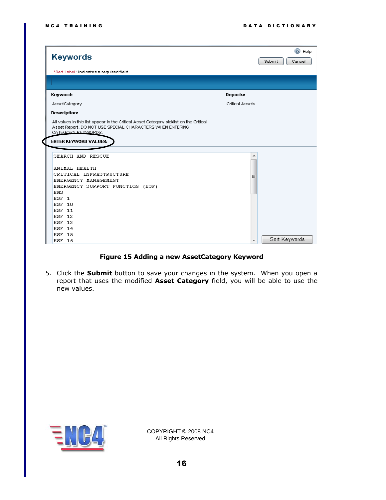| <b>Keywords</b>                                                                                                                                                           | Submit                 | ⊚<br>Help<br>Cancel |
|---------------------------------------------------------------------------------------------------------------------------------------------------------------------------|------------------------|---------------------|
| *Red Label: indicates a required field.                                                                                                                                   |                        |                     |
|                                                                                                                                                                           |                        |                     |
|                                                                                                                                                                           |                        |                     |
| Keyword:                                                                                                                                                                  | Reports:               |                     |
| AssetCategory                                                                                                                                                             | <b>Critical Assets</b> |                     |
| Description:                                                                                                                                                              |                        |                     |
| All values in this list appear in the Critical Asset Category picklist on the Critical<br>Asset Report, DO NOT USE SPECIAL CHARACTERS WHEN ENTERING<br>CATEGORY KEYWORDS. |                        |                     |
| <b>ENTER KEYWORD VALUES:</b>                                                                                                                                              |                        |                     |
|                                                                                                                                                                           |                        |                     |
| SEARCH AND RESCUE                                                                                                                                                         |                        |                     |
| ANIMAL HEALTH                                                                                                                                                             |                        |                     |
| CRITICAL INFRASTRUCTURE                                                                                                                                                   |                        |                     |
| EMERGENCY MANAGEMENT                                                                                                                                                      | Ξ                      |                     |
| EMERGENCY SUPPORT FUNCTION (ESF)                                                                                                                                          |                        |                     |
| EMS                                                                                                                                                                       |                        |                     |
| ESF <sub>1</sub>                                                                                                                                                          |                        |                     |
| ESF 10                                                                                                                                                                    |                        |                     |
| ESF 11                                                                                                                                                                    |                        |                     |
| ESF 12                                                                                                                                                                    |                        |                     |
| ESF 13                                                                                                                                                                    |                        |                     |
| ESF 14                                                                                                                                                                    |                        |                     |
| ESF 15                                                                                                                                                                    | Sort Keywords          |                     |
| ESF 16                                                                                                                                                                    |                        |                     |

### **Figure 15 Adding a new AssetCategory Keyword**

<span id="page-15-0"></span>5. Click the **Submit** button to save your changes in the system. When you open a report that uses the modified **Asset Category** field, you will be able to use the new values.

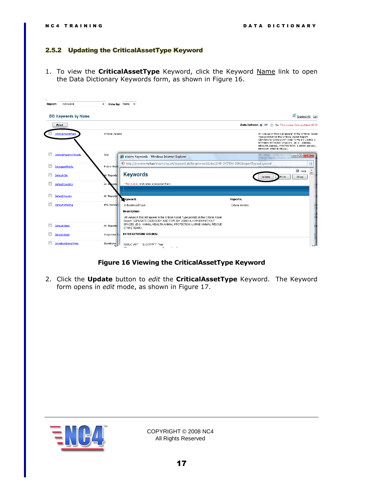#### <span id="page-16-0"></span>2.5.2 Updating the CriticalAssetType Keyword

1. To view the **CriticalAssetType** Keyword, click the Keyword Name link to open the Data Dictionary Keywords form, as shown in [Figure 16.](#page-16-1)



**Figure 16 Viewing the CriticalAssetType Keyword**

<span id="page-16-1"></span>2. Click the **Update** button to *edit* the **CriticalAssetType** Keyword. The Keyword form opens in *edit* mode, as shown in [Figure 17.](#page-17-0)

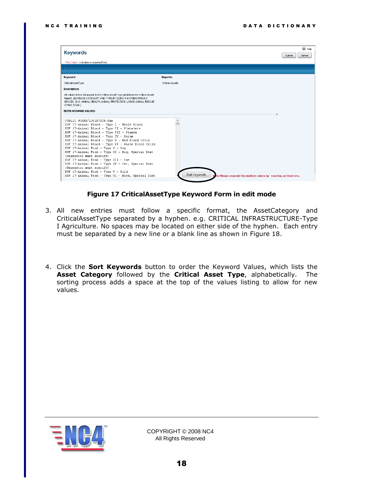| Keywords                                                                                                                                                                                                                                                                                                                                                                                                                                                                                                                                                                                                                                                |                                                                                                                 | $^{\circ}$<br>Help<br>Submit<br>Cancel |
|---------------------------------------------------------------------------------------------------------------------------------------------------------------------------------------------------------------------------------------------------------------------------------------------------------------------------------------------------------------------------------------------------------------------------------------------------------------------------------------------------------------------------------------------------------------------------------------------------------------------------------------------------------|-----------------------------------------------------------------------------------------------------------------|----------------------------------------|
| *Red Label: indicates a required field.                                                                                                                                                                                                                                                                                                                                                                                                                                                                                                                                                                                                                 |                                                                                                                 |                                        |
|                                                                                                                                                                                                                                                                                                                                                                                                                                                                                                                                                                                                                                                         |                                                                                                                 |                                        |
| Keyword:                                                                                                                                                                                                                                                                                                                                                                                                                                                                                                                                                                                                                                                | Reports:                                                                                                        |                                        |
| CriticalAssetType                                                                                                                                                                                                                                                                                                                                                                                                                                                                                                                                                                                                                                       | <b>Critical Assets</b>                                                                                          |                                        |
| <b>Description:</b>                                                                                                                                                                                                                                                                                                                                                                                                                                                                                                                                                                                                                                     |                                                                                                                 |                                        |
| All values in this list appear in the Critical Asset Type picklist on the Critical Asset<br>Report, SEPARATE CATEGORY AND TYPE BY USING A HYPHEN WITHOUT<br>SPACES. (E.G. ANIMAL HEALTH-ANIMAL PROTECTION: LARGE ANIMAL RESCUE<br>STRIKE TEAM.)                                                                                                                                                                                                                                                                                                                                                                                                         |                                                                                                                 |                                        |
| <b>ENTER KEYWORD VALUES:</b>                                                                                                                                                                                                                                                                                                                                                                                                                                                                                                                                                                                                                            |                                                                                                                 |                                        |
| PUBLIC WORKS/LOGISTICS-Dam<br>ESF 17-Animal Blood - Type I - Whole Blood<br>ESF 17-Animal Blood - Type II - Platelets<br>ESF 17-Animal Blood - Type III - Plasma<br>ESF 17-Animal Blood - Type IV - Serum<br>ESF 17-Animal Blood - Type V - Red Blood Cells<br>ESF 17-Animal Blood - Type VI - White Blood Cells<br>ESF 17-Animal Food - Type I - Dog<br>ESF 17-Animal Food - Type II - Dog, Special Diet<br>(Requestor must specify)<br>ESF 17-Animal Food - Type III - Cat<br>ESF 17-Animal Food - Type IV - Cat, Special Diet<br>(Requestor must specify)<br>ESF 17-Animal Food - Type V - Bird<br>ESF 17-Animal Food - Type VI - Bird, Special Diet | $\blacktriangle$<br>m<br>Sort Keywords<br>Note: Please separate the multiple values by new line, or blank line. |                                        |

**Figure 17 CriticalAssetType Keyword Form in edit mode**

- <span id="page-17-0"></span>3. All new entries must follow a specific format, the AssetCategory and CriticalAssetType separated by a hyphen. e.g. CRITICAL INFRASTRUCTURE-Type I Agriculture. No spaces may be located on either side of the hyphen. Each entry must be separated by a new line or a blank line as shown in [Figure 18.](#page-18-0)
- 4. Click the **Sort Keywords** button to order the Keyword Values, which lists the **Asset Category** followed by the **Critical Asset Type**, alphabetically. The sorting process adds a space at the top of the values listing to allow for new values.

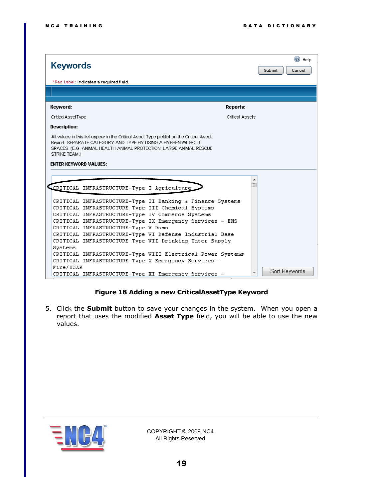| Keywords                                                                                                                                                                                                                                                                                                                         | C Help<br>Submit<br>Cancel |
|----------------------------------------------------------------------------------------------------------------------------------------------------------------------------------------------------------------------------------------------------------------------------------------------------------------------------------|----------------------------|
| *Red Label: indicates a required field.                                                                                                                                                                                                                                                                                          |                            |
|                                                                                                                                                                                                                                                                                                                                  |                            |
|                                                                                                                                                                                                                                                                                                                                  |                            |
| Keyword:                                                                                                                                                                                                                                                                                                                         | Reports:                   |
| CriticalAssetType                                                                                                                                                                                                                                                                                                                | <b>Critical Assets</b>     |
| Description:                                                                                                                                                                                                                                                                                                                     |                            |
| All values in this list appear in the Critical Asset Type picklist on the Critical Asset<br>Report, SEPARATE CATEGORY AND TYPE BY USING A HYPHEN WITHOUT<br>SPACES, (E.G. ANIMAL HEALTH-ANIMAL PROTECTION: LARGE ANIMAL RESCUE<br>STRIKE TEAM.)                                                                                  |                            |
| <b>ENTER KEYWORD VALUES:</b>                                                                                                                                                                                                                                                                                                     |                            |
| CRITICAL INFRASTRUCTURE-Type I Agriculture                                                                                                                                                                                                                                                                                       | ▲<br>Ξì                    |
| CRITICAL INFRASTRUCTURE-Type II Banking & Finance Systems<br>CRITICAL INFRASTRUCTURE-Type III Chemical Systems<br>CRITICAL INFRASTRUCTURE-Type IV Commerce Systems<br>CRITICAL INFRASTRUCTURE-Type IX Emergency Services - EMS<br>CRITICAL INFRASTRUCTURE-Type V Dams<br>CRITICAL INFRASTRUCTURE-Type VI Defense Industrial Base |                            |
| CRITICAL INFRASTRUCTURE-Type VII Drinking Water Supply<br>Systems<br>CRITICAL INFRASTRUCTURE-Type VIII Electrical Power Systems<br>CRITICAL INFRASTRUCTURE-Type X Emergency Services -<br>Fire/USAR<br>CRITICAL INFRASTRUCTURE-Type XI Emergency Services -                                                                      | Sort Keywords              |

#### **Figure 18 Adding a new CriticalAssetType Keyword**

<span id="page-18-0"></span>5. Click the **Submit** button to save your changes in the system. When you open a report that uses the modified **Asset Type** field, you will be able to use the new values.

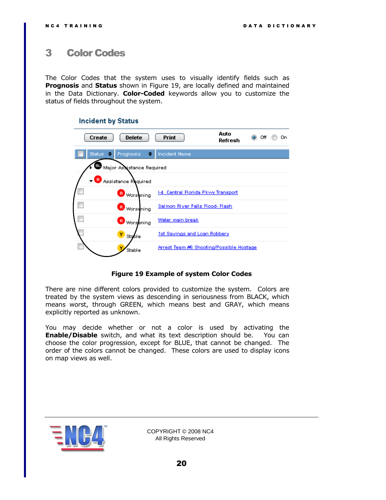### <span id="page-19-0"></span>3 Color Codes

The Color Codes that the system uses to visually identify fields such as **Prognosis** and **Status** shown in [Figure 19,](#page-19-1) are locally defined and maintained in the Data Dictionary. **Color-Coded** keywords allow you to customize the status of fields throughout the system.

#### **Incident by Status**



#### **Figure 19 Example of system Color Codes**

<span id="page-19-1"></span>There are nine different colors provided to customize the system. Colors are treated by the system views as descending in seriousness from BLACK, which means worst, through GREEN, which means best and GRAY, which means explicitly reported as unknown.

You may decide whether or not a color is used by activating the **Enable/Disable** switch, and what its text description should be. You can choose the color progression, except for BLUE, that cannot be changed. The order of the colors cannot be changed. These colors are used to display icons on map views as well.

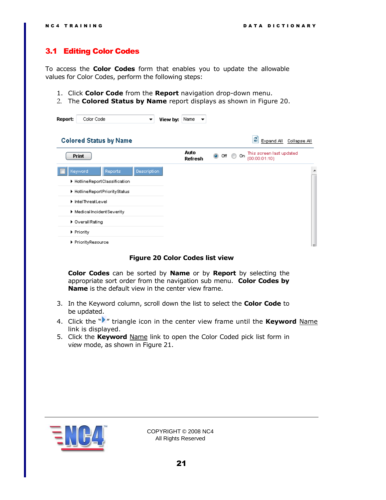#### <span id="page-20-0"></span>3.1 Editing Color Codes

To access the **Color Codes** form that enables you to update the allowable values for Color Codes, perform the following steps:

- 1. Click **Color Code** from the **Report** navigation drop-down menu.
- 2. The **Colored Status by Name** report displays as shown in [Figure 20.](#page-20-1)

| Report: | Color Code                    | ▼           | View by: | Name<br>▼       |                                                                      |     |
|---------|-------------------------------|-------------|----------|-----------------|----------------------------------------------------------------------|-----|
|         | <b>Colored Status by Name</b> |             |          |                 | ø<br>Collapse All<br>Expand All                                      |     |
|         | <b>Print</b>                  |             |          | Auto<br>Refresh | This screen last updated<br>$\bullet$<br>On.<br>Off<br>(00:00:01:10) |     |
|         | Reports<br>Keyword            | Description |          |                 |                                                                      | ▲   |
|         | ▶ HotlineReportClassification |             |          |                 |                                                                      |     |
|         | ▶ HotlineReportPriorityStatus |             |          |                 |                                                                      |     |
|         | Intel Threat Level            |             |          |                 |                                                                      |     |
|         | Medical Incident Severity     |             |          |                 |                                                                      |     |
|         | ▶ Overall Rating              |             |          |                 |                                                                      |     |
|         | ▶ Priority                    |             |          |                 |                                                                      |     |
|         | ▶ PriorityResource            |             |          |                 |                                                                      | $-$ |

**Figure 20 Color Codes list view**

<span id="page-20-1"></span>**Color Codes** can be sorted by **Name** or by **Report** by selecting the appropriate sort order from the navigation sub menu. **Color Codes by Name** is the default view in the center view frame.

- 3. In the Keyword column, scroll down the list to select the **Color Code** to be updated.
- 4. Click the "<sup>"</sup> triangle icon in the center view frame until the **Keyword** Name link is displayed.
- 5. Click the **Keyword** Name link to open the Color Coded pick list form in v*iew* mode, as shown in [Figure 21.](#page-21-0)

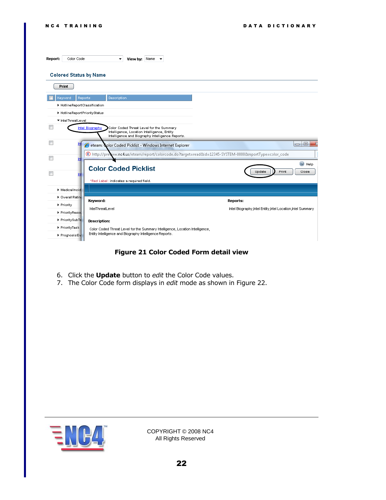| Report: | Color Code                           | View by: Name                                                                                                                               |  |                                                           |                                 |  |  |  |
|---------|--------------------------------------|---------------------------------------------------------------------------------------------------------------------------------------------|--|-----------------------------------------------------------|---------------------------------|--|--|--|
|         | <b>Colored Status by Name</b>        |                                                                                                                                             |  |                                                           |                                 |  |  |  |
|         | <b>Print</b>                         |                                                                                                                                             |  |                                                           |                                 |  |  |  |
|         | Keyword<br>Reports                   | <b>Description</b>                                                                                                                          |  |                                                           |                                 |  |  |  |
|         | HotlineReportClassification          |                                                                                                                                             |  |                                                           |                                 |  |  |  |
|         | HotlineReportPriorityStatus          |                                                                                                                                             |  |                                                           |                                 |  |  |  |
|         | ▼ Intel Threat Level                 |                                                                                                                                             |  |                                                           |                                 |  |  |  |
|         | Intel Biography                      | Color Coded Threat Level for the Summary<br>Intelligence, Location Intelligence, Entity<br>Intelligence and Biography Intelligence Reports. |  |                                                           |                                 |  |  |  |
|         |                                      | eteam: Color Coded Picklist - Windows Internet Explorer                                                                                     |  |                                                           | $\Box$<br>$\qquad \qquad \Box$  |  |  |  |
|         |                                      | Thttp://preview.nc4.us/eteam/report/colorcode.do?target=read&id=12345-SYSTEM-0800&reportType=color_code                                     |  |                                                           |                                 |  |  |  |
|         | lΠ<br>m                              | <b>Color Coded Picklist</b><br>*Red Label: indicates a required field.                                                                      |  | Print<br>Update                                           | $\circledcirc$<br>Help<br>Close |  |  |  |
|         | Medical Incid                        |                                                                                                                                             |  |                                                           |                                 |  |  |  |
|         | ▶ Overall Ratin<br>Keyword:          |                                                                                                                                             |  | Reports:                                                  |                                 |  |  |  |
|         | Priority<br><b>IntelThreatLevel</b>  |                                                                                                                                             |  | Intel Biography Intel Entity Intel Location Intel Summary |                                 |  |  |  |
|         | PriorityResou                        |                                                                                                                                             |  |                                                           |                                 |  |  |  |
|         | PrioritySubTa<br><b>Description:</b> |                                                                                                                                             |  |                                                           |                                 |  |  |  |
|         | PriorityTask<br>PrognosisEv          | Color Coded Threat Level for the Summary Intelligence, Location Intelligence,<br>Entity Intelligence and Biography Intelligence Reports.    |  |                                                           |                                 |  |  |  |

**Figure 21 Color Coded Form detail view**

- <span id="page-21-0"></span>6. Click the **Update** button to *edit* the Color Code values.
- 7. The Color Code form displays in *edit* mode as shown in [Figure 22.](#page-22-0)